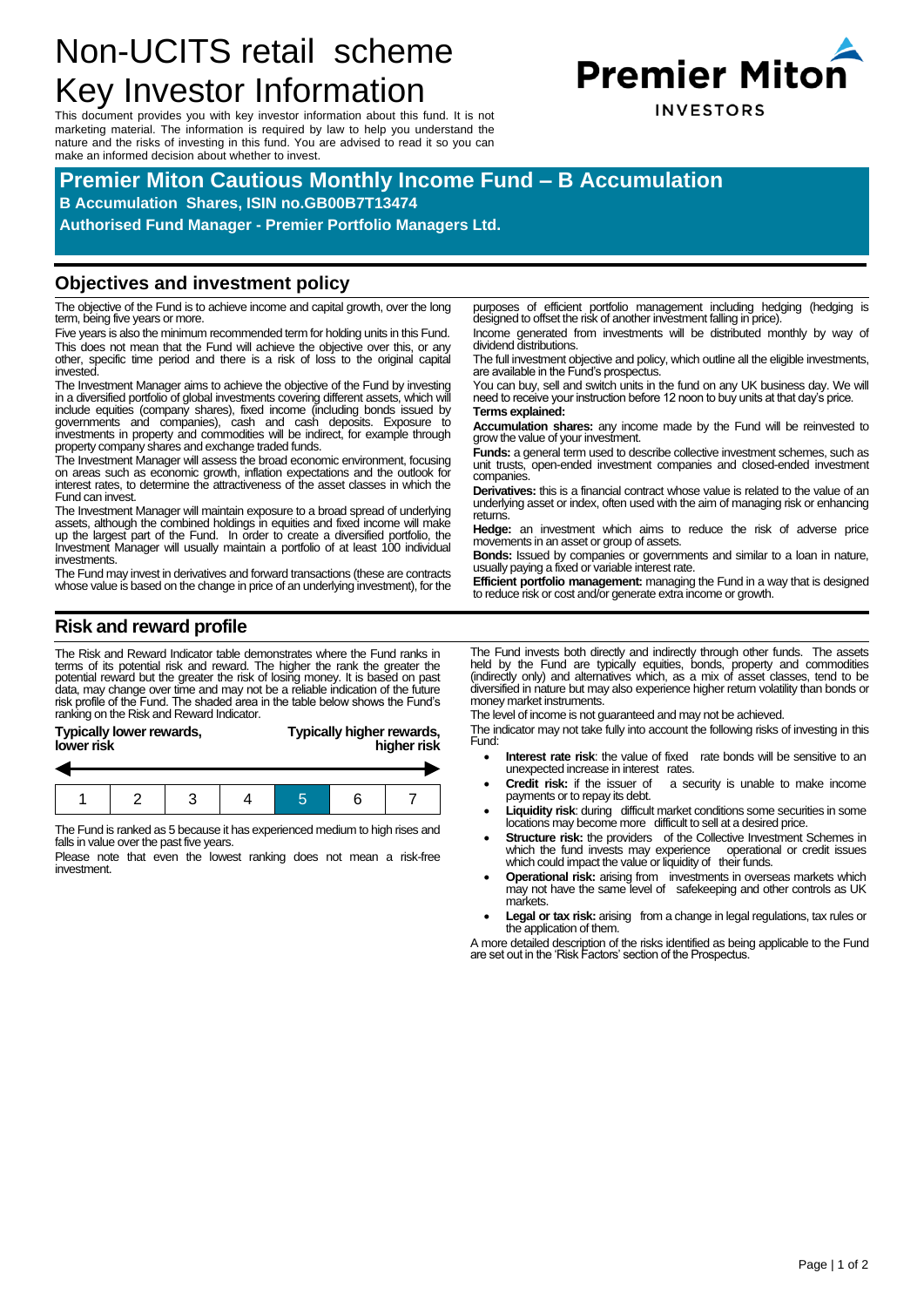# Non-UCITS retail scheme Key Investor Information

This document provides you with key investor information about this fund. It is not marketing material. The information is required by law to help you understand the nature and the risks of investing in this fund. You are advised to read it so you can make an informed decision about whether to invest.



## **Premier Miton Cautious Monthly Income Fund – B Accumulation**

**B Accumulation Shares, ISIN no.GB00B7T13474**

**Authorised Fund Manager - Premier Portfolio Managers Ltd.**

#### **Objectives and investment policy**

The objective of the Fund is to achieve income and capital growth, over the long term, being five years or more.

Five years is also the minimum recommended term for holding units in this Fund. This does not mean that the Fund will achieve the objective over this, or any other, specific time period and there is a risk of loss to the original capital invested.

The Investment Manager aims to achieve the objective of the Fund by investing in a diversified portfolio of global investments covering different assets, which will<br>include equities (company shares), fixed income (including bonds issued by<br>governments and companies), cash and cash deposits. E investments in property and commodities will be indirect, for example through property company shares and exchange traded funds.

The Investment Manager will assess the broad economic environment, focusing on areas such as economic growth, inflation expectations and the outlook for interest rates, to determine the attractiveness of the asset classes in which the Fund can invest.

The Investment Manager will maintain exposure to a broad spread of underlying assets, although the combined holdings in equities and fixed income will make up the largest part of the Fund. In order to create a diversified portfolio, the Investment Manager will usually maintain a portfolio of at least 100 individual investments.

The Fund may invest in derivatives and forward transactions (these are contracts whose value is based on the change in price of an underlying investment), for the purposes of efficient portfolio management including hedging (hedging is designed to offset the risk of another investment falling in price).

Income generated from investments will be distributed monthly by way of dividend distributions.

The full investment objective and policy, which outline all the eligible investments, are available in the Fund's prospectus.

You can buy, sell and switch units in the fund on any UK business day. We will need to receive your instruction before 12 noon to buy units at that day's price. **Terms explained:**

**Accumulation shares:** any income made by the Fund will be reinvested to grow the value of your investment.

**Funds:** a general term used to describe collective investment schemes, such as unit trusts, open-ended investment companies and closed-ended investment companies.

**Derivatives:** this is a financial contract whose value is related to the value of an underlying asset or index, often used with the aim of managing risk or enhancing returns.

**Hedge:** an investment which aims to reduce the risk of adverse price movements in an asset or group of assets.

**Bonds:** Issued by companies or governments and similar to a loan in nature, usually paying a fixed or variable interest rate.

**Efficient portfolio management:** managing the Fund in a way that is designed to reduce risk or cost and/or generate extra income or growth.

## **Risk and reward profile**

The Risk and Reward Indicator table demonstrates where the Fund ranks in terms of its potential risk and reward. The higher the rank the greater the potential reward but the greater the risk of losing money. It is based on past data, may change over time and may not be a reliable indication of the future risk profile of the Fund. The shaded area in the table below shows the Fund's ranking on the Risk and Reward Indicator.

| Typically lower rewards, | Typically higher rewards, |
|--------------------------|---------------------------|
| lower risk               | higher risk               |
|                          |                           |

The Fund is ranked as 5 because it has experienced medium to high rises and falls in value over the past five years.

Please note that even the lowest ranking does not mean a risk-free investment.

The Fund invests both directly and indirectly through other funds. The assets held by the Fund are typically equities, bonds, property and commodities (indirectly only) and alternatives which, as a mix of asset classes, tend to be diversified in nature but may also experience higher return volatility than bonds or money market instruments.

The level of income is not guaranteed and may not be achieved.

The indicator may not take fully into account the following risks of investing in this Fund:

- **Interest rate risk:** the value of fixed rate bonds will be sensitive to an unexpected increase in interest rates.
- **Credit risk:** if the issuer of a security is unable to make income payments or to repay its debt.
- **Liquidity risk**: during difficult market conditions some securities in some locations may become more difficult to sell at a desired price.
- **Structure risk:** the providers of the Collective Investment Schemes in which the fund invests may experience operational or credit issues which could impact the value or liquidity of their funds.
- **Operational risk:** arising from investments in overseas markets which may not have the same level of safekeeping and other controls as UK markets.
- Legal or tax risk: arising from a change in legal regulations, tax rules or the application of them.

A more detailed description of the risks identified as being applicable to the Fund are set out in the 'Risk Factors' section of the Prospectus.